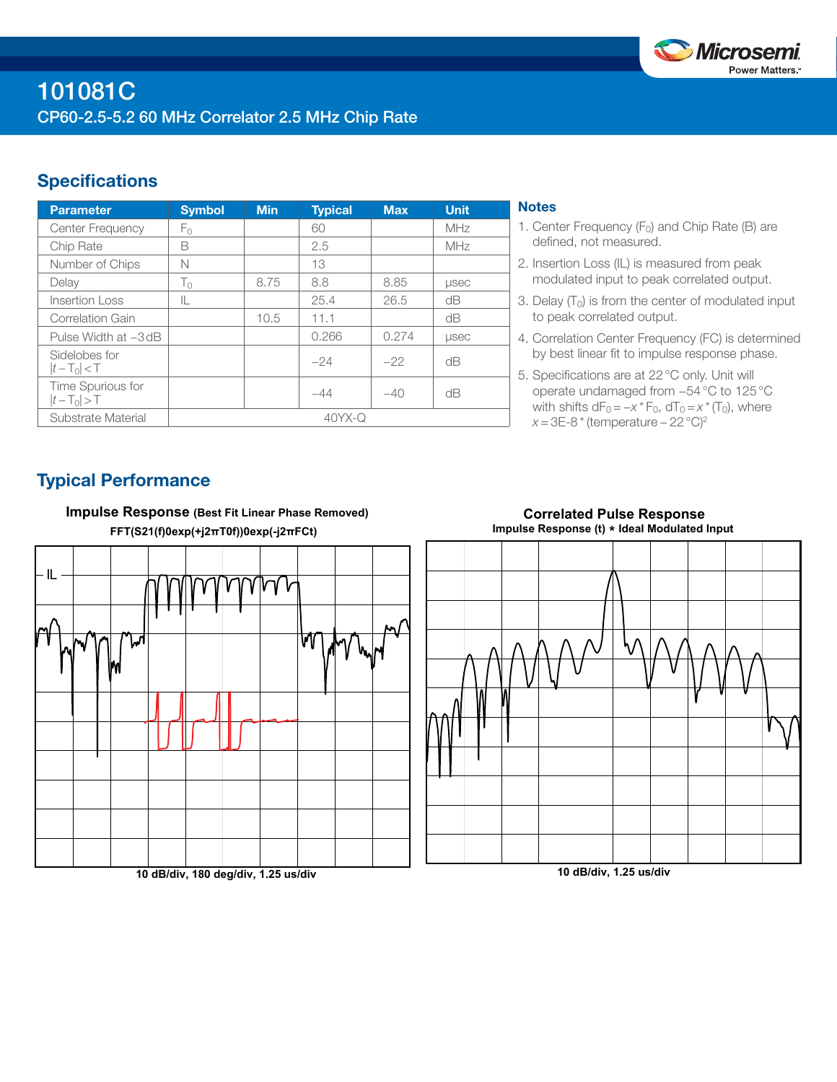

## **Specifications**

| <b>Parameter</b>                 | <b>Symbol</b>  | <b>Min</b> | <b>Typical</b> | <b>Max</b> | <b>Unit</b>  |
|----------------------------------|----------------|------------|----------------|------------|--------------|
| <b>Center Frequency</b>          | F <sub>0</sub> |            | 60             |            | MHz          |
| Chip Rate                        | B              |            | 2.5            |            | MHz          |
| Number of Chips                  | N              |            | 13             |            |              |
| Delay                            | $T_0$          | 8.75       | 8.8            | 8.85       | <b>LISEC</b> |
| Insertion Loss                   | IL             |            | 25.4           | 26.5       | dB           |
| Correlation Gain                 |                | 10.5       | 11.1           |            | dB           |
| Pulse Width at -3 dB             |                |            | 0.266          | 0.274      | <b>LISEC</b> |
| Sidelobes for<br>$ t-T_0  < T$   |                |            | $-24$          | $-22$      | dB           |
| Time Spurious for<br>$ t-T_0 >T$ |                |            | $-44$          | $-40$      | dB           |
| Substrate Material               | $40YX - Q$     |            |                |            |              |

## **Notes**

- 1. Center Frequency  $(F_0)$  and Chip Rate (B) are defined, not measured.
- 2. Insertion Loss (IL) is measured from peak modulated input to peak correlated output.
- 3. Delay  $(T_0)$  is from the center of modulated input to peak correlated output.
- 4. Correlation Center Frequency (FC) is determined by best linear fit to impulse response phase.
- 5. Specifications are at 22°C only. Unit will operate undamaged from −54°C to 125°C with shifts  $dF_0 = -x * F_0$ ,  $dT_0 = x * (T_0)$ , where *x* = 3E-8 \* (temperature – 22 °C)<sup>2</sup>

# Typical Performance



**Impulse Response (Best Fit Linear Phase Removed)**

**10 dB/div, 180 deg/div, 1.25 us/div**

**Correlated Pulse Response Impulse Response (t) \* Ideal Modulated Input**



**10 dB/div, 1.25 us/div**